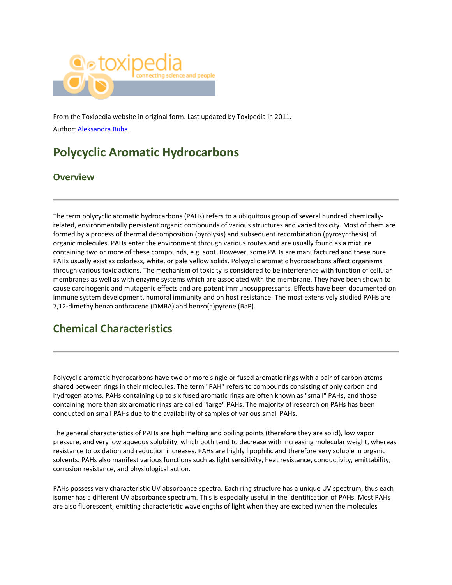

From the Toxipedia website in original form. Last updated by Toxipedia in 2011. Author: [Aleksandra Buha](https://www.researchgate.net/profile/Aleksandra_Buha)

# **Polycyclic Aromatic Hydrocarbons**

## **Overview**

The term polycyclic aromatic hydrocarbons (PAHs) refers to a ubiquitous group of several hundred chemicallyrelated, environmentally persistent organic compounds of various structures and varied toxicity. Most of them are formed by a process of thermal decomposition (pyrolysis) and subsequent recombination (pyrosynthesis) of organic molecules. PAHs enter the environment through various routes and are usually found as a mixture containing two or more of these compounds, e.g. soot. However, some PAHs are manufactured and these pure PAHs usually exist as colorless, white, or pale yellow solids. Polycyclic aromatic hydrocarbons affect organisms through various toxic actions. The mechanism of toxicity is considered to be interference with function of cellular membranes as well as with enzyme systems which are associated with the membrane. They have been shown to cause carcinogenic and mutagenic effects and are potent immunosuppressants. Effects have been documented on immune system development, humoral immunity and on host resistance. The most extensively studied PAHs are 7,12-dimethylbenzo anthracene (DMBA) and benzo(a)pyrene (BaP).

## **Chemical Characteristics**

Polycyclic aromatic hydrocarbons have two or more single or fused aromatic rings with a pair of carbon atoms shared between rings in their molecules. The term "PAH" refers to compounds consisting of only carbon and hydrogen atoms. PAHs containing up to six fused aromatic rings are often known as "small" PAHs, and those containing more than six aromatic rings are called "large" PAHs. The majority of research on PAHs has been conducted on small PAHs due to the availability of samples of various small PAHs.

The general characteristics of PAHs are high melting and boiling points (therefore they are solid), low vapor pressure, and very low aqueous solubility, which both tend to decrease with increasing molecular weight, whereas resistance to oxidation and reduction increases. PAHs are highly lipophilic and therefore very soluble in organic solvents. PAHs also manifest various functions such as light sensitivity, heat resistance, conductivity, emittability, corrosion resistance, and physiological action.

PAHs possess very characteristic UV absorbance spectra. Each ring structure has a unique UV spectrum, thus each isomer has a different UV absorbance spectrum. This is especially useful in the identification of PAHs. Most PAHs are also fluorescent, emitting characteristic wavelengths of light when they are excited (when the molecules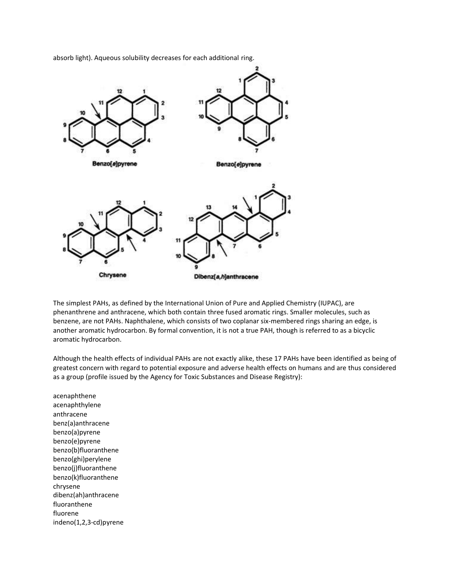

absorb light). Aqueous solubility decreases for each additional ring.

The simplest PAHs, as defined by the International Union of Pure and Applied Chemistry (IUPAC), are phenanthrene and anthracene, which both contain three fused aromatic rings. Smaller molecules, such as benzene, are not PAHs. Naphthalene, which consists of two coplanar six-membered rings sharing an edge, is another aromatic hydrocarbon. By formal convention, it is not a true PAH, though is referred to as a bicyclic aromatic hydrocarbon.

Although the health effects of individual PAHs are not exactly alike, these 17 PAHs have been identified as being of greatest concern with regard to potential exposure and adverse health effects on humans and are thus considered as a group (profile issued by the Agency for Toxic Substances and Disease Registry):

acenaphthene acenaphthylene anthracene benz(a)anthracene benzo(a)pyrene benzo(e)pyrene benzo(b)fluoranthene benzo(ghi)perylene benzo(j)fluoranthene benzo(k)fluoranthene chrysene dibenz(ah)anthracene fluoranthene fluorene indeno(1,2,3-cd)pyrene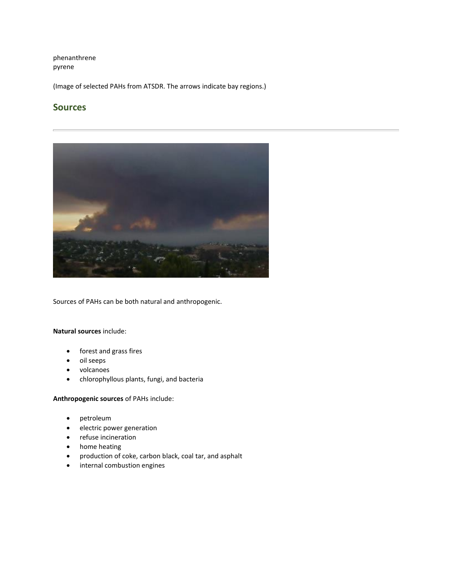phenanthrene pyrene

(Image of selected PAHs from ATSDR. The arrows indicate bay regions.)

## **Sources**



Sources of PAHs can be both natural and anthropogenic.

**Natural sources** include:

- forest and grass fires
- oil seeps
- volcanoes
- chlorophyllous plants, fungi, and bacteria

**Anthropogenic sources** of PAHs include:

- petroleum
- electric power generation
- refuse incineration
- home heating
- production of coke, carbon black, coal tar, and asphalt
- internal combustion engines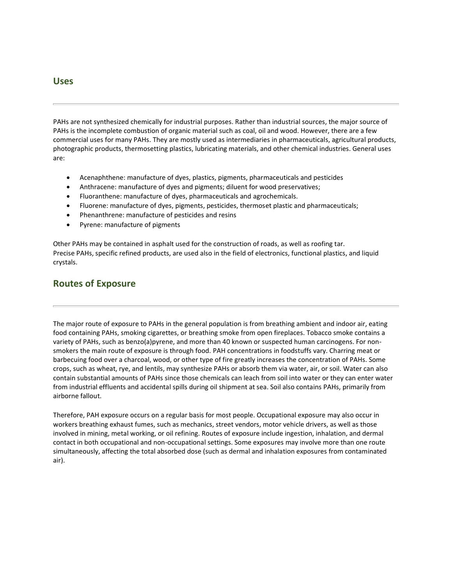#### **Uses**

PAHs are not synthesized chemically for industrial purposes. Rather than industrial sources, the major source of PAHs is the incomplete combustion of organic material such as coal, oil and wood. However, there are a few commercial uses for many PAHs. They are mostly used as intermediaries in pharmaceuticals, agricultural products, photographic products, thermosetting plastics, lubricating materials, and other chemical industries. General uses are:

- Acenaphthene: manufacture of dyes, plastics, pigments, pharmaceuticals and pesticides
- Anthracene: manufacture of dyes and pigments; diluent for wood preservatives;
- Fluoranthene: manufacture of dyes, pharmaceuticals and agrochemicals.
- Fluorene: manufacture of dyes, pigments, pesticides, thermoset plastic and pharmaceuticals;
- Phenanthrene: manufacture of pesticides and resins
- Pyrene: manufacture of pigments

Other PAHs may be contained in asphalt used for the construction of roads, as well as roofing tar. Precise PAHs, specific refined products, are used also in the field of electronics, functional plastics, and liquid crystals.

### **Routes of Exposure**

The major route of exposure to PAHs in the general population is from breathing ambient and indoor air, eating food containing PAHs, smoking cigarettes, or breathing smoke from open fireplaces. Tobacco smoke contains a variety of PAHs, such as benzo(a)pyrene, and more than 40 known or suspected human carcinogens. For nonsmokers the main route of exposure is through food. PAH concentrations in foodstuffs vary. Charring meat or barbecuing food over a charcoal, wood, or other type of fire greatly increases the concentration of PAHs. Some crops, such as wheat, rye, and lentils, may synthesize PAHs or absorb them via water, air, or soil. Water can also contain substantial amounts of PAHs since those chemicals can leach from soil into water or they can enter water from industrial effluents and accidental spills during oil shipment at sea. Soil also contains PAHs, primarily from airborne fallout.

Therefore, PAH exposure occurs on a regular basis for most people. Occupational exposure may also occur in workers breathing exhaust fumes, such as mechanics, street vendors, motor vehicle drivers, as well as those involved in mining, metal working, or oil refining. Routes of exposure include ingestion, inhalation, and dermal contact in both occupational and non-occupational settings. Some exposures may involve more than one route simultaneously, affecting the total absorbed dose (such as dermal and inhalation exposures from contaminated air).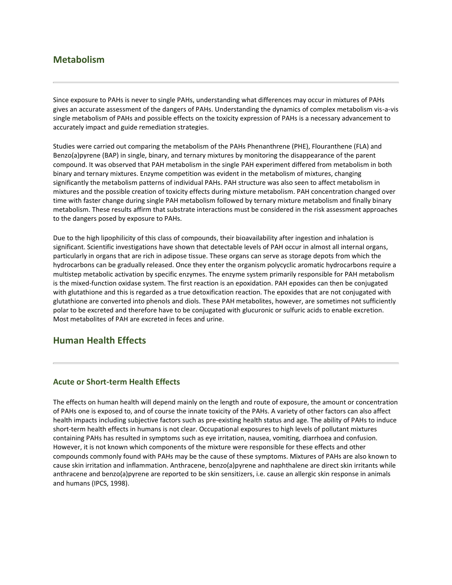## **Metabolism**

Since exposure to PAHs is never to single PAHs, understanding what differences may occur in mixtures of PAHs gives an accurate assessment of the dangers of PAHs. Understanding the dynamics of complex metabolism vis-a-vis single metabolism of PAHs and possible effects on the toxicity expression of PAHs is a necessary advancement to accurately impact and guide remediation strategies.

Studies were carried out comparing the metabolism of the PAHs Phenanthrene (PHE), Flouranthene (FLA) and Benzo(a)pyrene (BAP) in single, binary, and ternary mixtures by monitoring the disappearance of the parent compound. It was observed that PAH metabolism in the single PAH experiment differed from metabolism in both binary and ternary mixtures. Enzyme competition was evident in the metabolism of mixtures, changing significantly the metabolism patterns of individual PAHs. PAH structure was also seen to affect metabolism in mixtures and the possible creation of toxicity effects during mixture metabolism. PAH concentration changed over time with faster change during single PAH metabolism followed by ternary mixture metabolism and finally binary metabolism. These results affirm that substrate interactions must be considered in the risk assessment approaches to the dangers posed by exposure to PAHs.

Due to the high lipophilicity of this class of compounds, their bioavailability after ingestion and inhalation is significant. Scientific investigations have shown that detectable levels of PAH occur in almost all internal organs, particularly in organs that are rich in adipose tissue. These organs can serve as storage depots from which the hydrocarbons can be gradually released. Once they enter the organism polycyclic aromatic hydrocarbons require a multistep metabolic activation by specific enzymes. The enzyme system primarily responsible for PAH metabolism is the mixed-function oxidase system. The first reaction is an epoxidation. PAH epoxides can then be conjugated with glutathione and this is regarded as a true detoxification reaction. The epoxides that are not conjugated with glutathione are converted into phenols and diols. These PAH metabolites, however, are sometimes not sufficiently polar to be excreted and therefore have to be conjugated with glucuronic or sulfuric acids to enable excretion. Most metabolites of PAH are excreted in feces and urine.

## **Human Health Effects**

#### **Acute or Short-term Health Effects**

The effects on human health will depend mainly on the length and route of exposure, the amount or concentration of PAHs one is exposed to, and of course the innate toxicity of the PAHs. A variety of other factors can also affect health impacts including subjective factors such as pre-existing health status and age. The ability of PAHs to induce short-term health effects in humans is not clear. Occupational exposures to high levels of pollutant mixtures containing PAHs has resulted in symptoms such as eye irritation, nausea, vomiting, diarrhoea and confusion. However, it is not known which components of the mixture were responsible for these effects and other compounds commonly found with PAHs may be the cause of these symptoms. Mixtures of PAHs are also known to cause skin irritation and inflammation. Anthracene, benzo(a)pyrene and naphthalene are direct skin irritants while anthracene and benzo(a)pyrene are reported to be skin sensitizers, i.e. cause an allergic skin response in animals and humans (IPCS, 1998).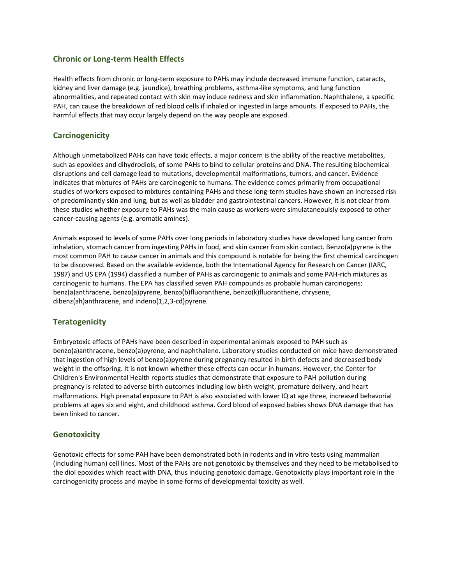#### **Chronic or Long-term Health Effects**

Health effects from chronic or long-term exposure to PAHs may include decreased immune function, cataracts, kidney and liver damage (e.g. jaundice), breathing problems, asthma-like symptoms, and lung function abnormalities, and repeated contact with skin may induce redness and skin inflammation. Naphthalene, a specific PAH, can cause the breakdown of red blood cells if inhaled or ingested in large amounts. If exposed to PAHs, the harmful effects that may occur largely depend on the way people are exposed.

#### **Carcinogenicity**

Although unmetabolized PAHs can have toxic effects, a major concern is the ability of the reactive metabolites, such as epoxides and dihydrodiols, of some PAHs to bind to cellular proteins and DNA. The resulting biochemical disruptions and cell damage lead to mutations, developmental malformations, tumors, and cancer. Evidence indicates that mixtures of PAHs are carcinogenic to humans. The evidence comes primarily from occupational studies of workers exposed to mixtures containing PAHs and these long-term studies have shown an increased risk of predominantly skin and lung, but as well as bladder and gastrointestinal cancers. However, it is not clear from these studies whether exposure to PAHs was the main cause as workers were simulataneoulsly exposed to other cancer-causing agents (e.g. aromatic amines).

Animals exposed to levels of some PAHs over long periods in laboratory studies have developed lung cancer from inhalation, stomach cancer from ingesting PAHs in food, and skin cancer from skin contact. Benzo(a)pyrene is the most common PAH to cause cancer in animals and this compound is notable for being the first chemical carcinogen to be discovered. Based on the available evidence, both the International Agency for Research on Cancer (IARC, 1987) and US EPA (1994) classified a number of PAHs as carcinogenic to animals and some PAH-rich mixtures as carcinogenic to humans. The EPA has classified seven PAH compounds as probable human carcinogens: benz(a)anthracene, benzo(a)pyrene, benzo(b)fluoranthene, benzo(k)fluoranthene, chrysene, dibenz(ah)anthracene, and indeno(1,2,3-cd)pyrene.

#### **Teratogenicity**

Embryotoxic effects of PAHs have been described in experimental animals exposed to PAH such as benzo(a)anthracene, benzo(a)pyrene, and naphthalene. Laboratory studies conducted on mice have demonstrated that ingestion of high levels of benzo(a)pyrene during pregnancy resulted in birth defects and decreased body weight in the offspring. It is not known whether these effects can occur in humans. However, the Center for Children's Environmental Health reports studies that demonstrate that exposure to PAH pollution during pregnancy is related to adverse birth outcomes including low birth weight, premature delivery, and heart malformations. High prenatal exposure to PAH is also associated with lower IQ at age three, increased behavorial problems at ages six and eight, and childhood asthma. Cord blood of exposed babies shows DNA damage that has been linked to cancer.

#### **Genotoxicity**

Genotoxic effects for some PAH have been demonstrated both in rodents and in vitro tests using mammalian (including human) cell lines. Most of the PAHs are not genotoxic by themselves and they need to be metabolised to the diol epoxides which react with DNA, thus inducing genotoxic damage. Genotoxicity plays important role in the carcinogenicity process and maybe in some forms of developmental toxicity as well.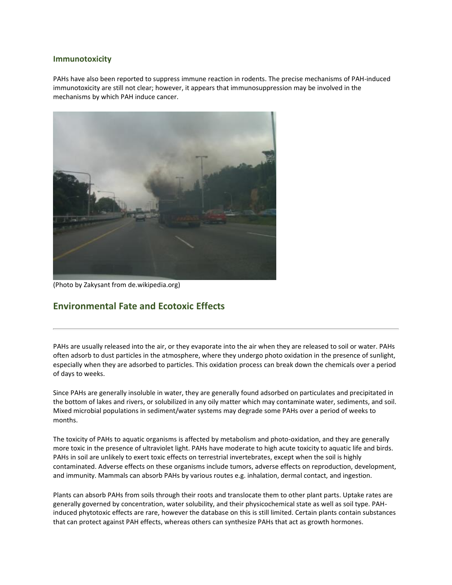#### **Immunotoxicity**

PAHs have also been reported to suppress immune reaction in rodents. The precise mechanisms of PAH-induced immunotoxicity are still not clear; however, it appears that immunosuppression may be involved in the mechanisms by which PAH induce cancer.



(Photo by Zakysant from de.wikipedia.org)

## **Environmental Fate and Ecotoxic Effects**

PAHs are usually released into the air, or they evaporate into the air when they are released to soil or water. PAHs often adsorb to dust particles in the atmosphere, where they undergo photo oxidation in the presence of sunlight, especially when they are adsorbed to particles. This oxidation process can break down the chemicals over a period of days to weeks.

Since PAHs are generally insoluble in water, they are generally found adsorbed on particulates and precipitated in the bottom of lakes and rivers, or solubilized in any oily matter which may contaminate water, sediments, and soil. Mixed microbial populations in sediment/water systems may degrade some PAHs over a period of weeks to months.

The toxicity of PAHs to aquatic organisms is affected by metabolism and photo-oxidation, and they are generally more toxic in the presence of ultraviolet light. PAHs have moderate to high acute toxicity to aquatic life and birds. PAHs in soil are unlikely to exert toxic effects on terrestrial invertebrates, except when the soil is highly contaminated. Adverse effects on these organisms include tumors, adverse effects on reproduction, development, and immunity. Mammals can absorb PAHs by various routes e.g. inhalation, dermal contact, and ingestion.

Plants can absorb PAHs from soils through their roots and translocate them to other plant parts. Uptake rates are generally governed by concentration, water solubility, and their physicochemical state as well as soil type. PAHinduced phytotoxic effects are rare, however the database on this is still limited. Certain plants contain substances that can protect against PAH effects, whereas others can synthesize PAHs that act as growth hormones.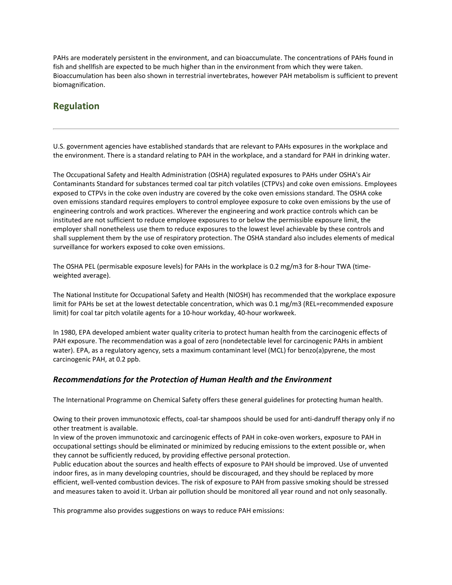PAHs are moderately persistent in the environment, and can bioaccumulate. The concentrations of PAHs found in fish and shellfish are expected to be much higher than in the environment from which they were taken. Bioaccumulation has been also shown in terrestrial invertebrates, however PAH metabolism is sufficient to prevent biomagnification.

## **Regulation**

U.S. government agencies have established standards that are relevant to PAHs exposures in the workplace and the environment. There is a standard relating to PAH in the workplace, and a standard for PAH in drinking water.

The Occupational Safety and Health Administration (OSHA) regulated exposures to PAHs under OSHA's Air Contaminants Standard for substances termed coal tar pitch volatiles (CTPVs) and coke oven emissions. Employees exposed to CTPVs in the coke oven industry are covered by the coke oven emissions standard. The OSHA coke oven emissions standard requires employers to control employee exposure to coke oven emissions by the use of engineering controls and work practices. Wherever the engineering and work practice controls which can be instituted are not sufficient to reduce employee exposures to or below the permissible exposure limit, the employer shall nonetheless use them to reduce exposures to the lowest level achievable by these controls and shall supplement them by the use of respiratory protection. The OSHA standard also includes elements of medical surveillance for workers exposed to coke oven emissions.

The OSHA PEL (permisable exposure levels) for PAHs in the workplace is 0.2 mg/m3 for 8-hour TWA (timeweighted average).

The National Institute for Occupational Safety and Health (NIOSH) has recommended that the workplace exposure limit for PAHs be set at the lowest detectable concentration, which was 0.1 mg/m3 (REL=recommended exposure limit) for coal tar pitch volatile agents for a 10-hour workday, 40-hour workweek.

In 1980, EPA developed ambient water quality criteria to protect human health from the carcinogenic effects of PAH exposure. The recommendation was a goal of zero (nondetectable level for carcinogenic PAHs in ambient water). EPA, as a regulatory agency, sets a maximum contaminant level (MCL) for benzo(a)pyrene, the most carcinogenic PAH, at 0.2 ppb.

#### *Recommendations for the Protection of Human Health and the Environment*

The International Programme on Chemical Safety offers these general guidelines for protecting human health.

Owing to their proven immunotoxic effects, coal-tar shampoos should be used for anti-dandruff therapy only if no other treatment is available.

In view of the proven immunotoxic and carcinogenic effects of PAH in coke-oven workers, exposure to PAH in occupational settings should be eliminated or minimized by reducing emissions to the extent possible or, when they cannot be sufficiently reduced, by providing effective personal protection.

Public education about the sources and health effects of exposure to PAH should be improved. Use of unvented indoor fires, as in many developing countries, should be discouraged, and they should be replaced by more efficient, well-vented combustion devices. The risk of exposure to PAH from passive smoking should be stressed and measures taken to avoid it. Urban air pollution should be monitored all year round and not only seasonally.

This programme also provides suggestions on ways to reduce PAH emissions: